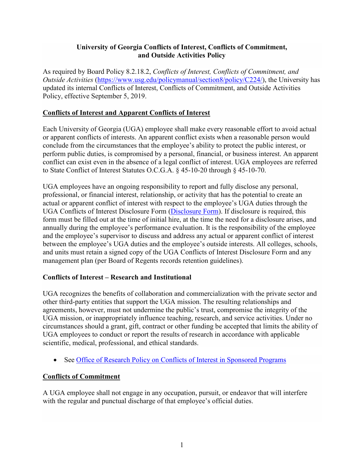## **University of Georgia Conflicts of Interest, Conflicts of Commitment, and Outside Activities Policy**

As required by Board Policy 8.2.18.2, *Conflicts of Interest, Conflicts of Commitment, and Outside Activities* [\(https://www.usg.edu/policymanual/section8/policy/C224/\)](https://www.usg.edu/policymanual/section8/policy/C224/), the University has updated its internal Conflicts of Interest, Conflicts of Commitment, and Outside Activities Policy, effective September 5, 2019.

## **Conflicts of Interest and Apparent Conflicts of Interest**

Each University of Georgia (UGA) employee shall make every reasonable effort to avoid actual or apparent conflicts of interests. An apparent conflict exists when a reasonable person would conclude from the circumstances that the employee's ability to protect the public interest, or perform public duties, is compromised by a personal, financial, or business interest. An apparent conflict can exist even in the absence of a legal conflict of interest. UGA employees are referred to State Conflict of Interest Statutes O.C.G.A. § 45-10-20 through § 45-10-70.

UGA employees have an ongoing responsibility to report and fully disclose any personal, professional, or financial interest, relationship, or activity that has the potential to create an actual or apparent conflict of interest with respect to the employee's UGA duties through the UGA Conflicts of Interest Disclosure Form [\(Disclosure Form\)](https://hr.uga.edu/_resources/pdf/Compensated-Outside-Activities-Approval-Form.pdf). If disclosure is required, this form must be filled out at the time of initial hire, at the time the need for a disclosure arises, and annually during the employee's performance evaluation. It is the responsibility of the employee and the employee's supervisor to discuss and address any actual or apparent conflict of interest between the employee's UGA duties and the employee's outside interests. All colleges, schools, and units must retain a signed copy of the UGA Conflicts of Interest Disclosure Form and any management plan (per Board of Regents records retention guidelines).

### **Conflicts of Interest – Research and Institutional**

UGA recognizes the benefits of collaboration and commercialization with the private sector and other third-party entities that support the UGA mission. The resulting relationships and agreements, however, must not undermine the public's trust, compromise the integrity of the UGA mission, or inappropriately influence teaching, research, and service activities. Under no circumstances should a grant, gift, contract or other funding be accepted that limits the ability of UGA employees to conduct or report the results of research in accordance with applicable scientific, medical, professional, and ethical standards.

• See [Office of Research Policy on Conflicts of Interest in Sponsored Programs](https://research.uga.edu/documents/conflicts-of-interest/)

# **Conflicts of Commitment**

A UGA employee shall not engage in any occupation, pursuit, or endeavor that will interfere with the regular and punctual discharge of that employee's official duties.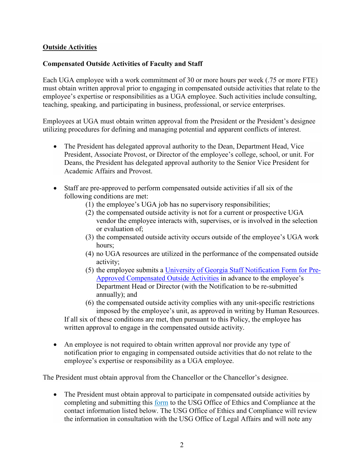### **Outside Activities**

## **Compensated Outside Activities of Faculty and Staff**

Each UGA employee with a work commitment of 30 or more hours per week (.75 or more FTE) must obtain written approval prior to engaging in compensated outside activities that relate to the employee's expertise or responsibilities as a UGA employee. Such activities include consulting, teaching, speaking, and participating in business, professional, or service enterprises.

Employees at UGA must obtain written approval from the President or the President's designee utilizing procedures for defining and managing potential and apparent conflicts of interest.

- The President has delegated approval authority to the Dean, Department Head, Vice President, Associate Provost, or Director of the employee's college, school, or unit. For Deans, the President has delegated approval authority to the Senior Vice President for Academic Affairs and Provost.
- Staff are pre-approved to perform compensated outside activities if all six of the following conditions are met:
	- (1) the employee's UGA job has no supervisory responsibilities;
	- (2) the compensated outside activity is not for a current or prospective UGA vendor the employee interacts with, supervises, or is involved in the selection or evaluation of;
	- (3) the compensated outside activity occurs outside of the employee's UGA work hours;
	- (4) no UGA resources are utilized in the performance of the compensated outside activity;
	- (5) the employee submits a [University of Georgia Staff Notification Form for Pre-](https://hr.uga.edu/_resources/pdf/Staff-Notification-Form-for-Pre-Approved-Compensated-Outside-Activities.pdf)[Approved Compensated Outside Activities](https://hr.uga.edu/_resources/pdf/Staff-Notification-Form-for-Pre-Approved-Compensated-Outside-Activities.pdf) in advance to the employee's Department Head or Director (with the Notification to be re-submitted annually); and
	- (6) the compensated outside activity complies with any unit-specific restrictions imposed by the employee's unit, as approved in writing by Human Resources.

If all six of these conditions are met, then pursuant to this Policy, the employee has written approval to engage in the compensated outside activity.

• An employee is not required to obtain written approval nor provide any type of notification prior to engaging in compensated outside activities that do not relate to the employee's expertise or responsibility as a UGA employee.

The President must obtain approval from the Chancellor or the Chancellor's designee.

• The President must obtain approval to participate in compensated outside activities by completing and submitting this [form](https://www.usg.edu/assets/organizational_effectiveness/documents/Presidents.pdf) to the USG Office of Ethics and Compliance at the contact information listed below. The USG Office of Ethics and Compliance will review the information in consultation with the USG Office of Legal Affairs and will note any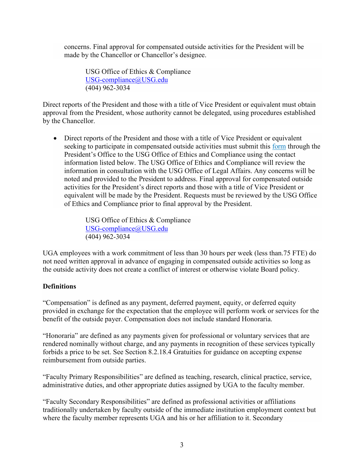concerns. Final approval for compensated outside activities for the President will be made by the Chancellor or Chancellor's designee.

USG Office of Ethics & Compliance [USG-compliance@USG.edu](mailto:USG-compliance@USG.edu) (404) 962-3034

Direct reports of the President and those with a title of Vice President or equivalent must obtain approval from the President, whose authority cannot be delegated, using procedures established by the Chancellor.

• Direct reports of the President and those with a title of Vice President or equivalent seeking to participate in compensated outside activities must submit this [form](https://www.usg.edu/assets/organizational_effectiveness/documents/Direct_Reports.pdf) through the President's Office to the USG Office of Ethics and Compliance using the contact information listed below. The USG Office of Ethics and Compliance will review the information in consultation with the USG Office of Legal Affairs. Any concerns will be noted and provided to the President to address. Final approval for compensated outside activities for the President's direct reports and those with a title of Vice President or equivalent will be made by the President. Requests must be reviewed by the USG Office of Ethics and Compliance prior to final approval by the President.

> USG Office of Ethics & Compliance [USG-compliance@USG.edu](mailto:USG-compliance@USG.edu) (404) 962-3034

UGA employees with a work commitment of less than 30 hours per week (less than.75 FTE) do not need written approval in advance of engaging in compensated outside activities so long as the outside activity does not create a conflict of interest or otherwise violate Board policy.

### **Definitions**

"Compensation" is defined as any payment, deferred payment, equity, or deferred equity provided in exchange for the expectation that the employee will perform work or services for the benefit of the outside payer. Compensation does not include standard Honoraria.

"Honoraria" are defined as any payments given for professional or voluntary services that are rendered nominally without charge, and any payments in recognition of these services typically forbids a price to be set. See Section 8.2.18.4 Gratuities for guidance on accepting expense reimbursement from outside parties.

"Faculty Primary Responsibilities" are defined as teaching, research, clinical practice, service, administrative duties, and other appropriate duties assigned by UGA to the faculty member.

"Faculty Secondary Responsibilities" are defined as professional activities or affiliations traditionally undertaken by faculty outside of the immediate institution employment context but where the faculty member represents UGA and his or her affiliation to it. Secondary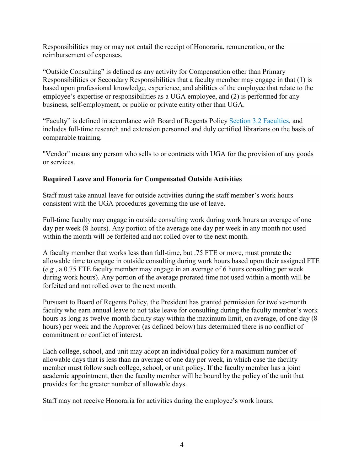Responsibilities may or may not entail the receipt of Honoraria, remuneration, or the reimbursement of expenses.

"Outside Consulting" is defined as any activity for Compensation other than Primary Responsibilities or Secondary Responsibilities that a faculty member may engage in that (1) is based upon professional knowledge, experience, and abilities of the employee that relate to the employee's expertise or responsibilities as a UGA employee, and (2) is performed for any business, self-employment, or public or private entity other than UGA.

"Faculty" is defined in accordance with Board of Regents Policy [Section 3.2 Faculties,](https://www.usg.edu/policymanual/section3/C337) and includes full-time research and extension personnel and duly certified librarians on the basis of comparable training.

"Vendor" means any person who sells to or contracts with UGA for the provision of any goods or services.

# **Required Leave and Honoria for Compensated Outside Activities**

Staff must take annual leave for outside activities during the staff member's work hours consistent with the UGA procedures governing the use of leave.

Full-time faculty may engage in outside consulting work during work hours an average of one day per week (8 hours). Any portion of the average one day per week in any month not used within the month will be forfeited and not rolled over to the next month.

A faculty member that works less than full-time, but .75 FTE or more, must prorate the allowable time to engage in outside consulting during work hours based upon their assigned FTE (*e.g.*, a 0.75 FTE faculty member may engage in an average of 6 hours consulting per week during work hours). Any portion of the average prorated time not used within a month will be forfeited and not rolled over to the next month.

Pursuant to Board of Regents Policy, the President has granted permission for twelve-month faculty who earn annual leave to not take leave for consulting during the faculty member's work hours as long as twelve-month faculty stay within the maximum limit, on average, of one day (8 hours) per week and the Approver (as defined below) has determined there is no conflict of commitment or conflict of interest.

Each college, school, and unit may adopt an individual policy for a maximum number of allowable days that is less than an average of one day per week, in which case the faculty member must follow such college, school, or unit policy. If the faculty member has a joint academic appointment, then the faculty member will be bound by the policy of the unit that provides for the greater number of allowable days.

Staff may not receive Honoraria for activities during the employee's work hours.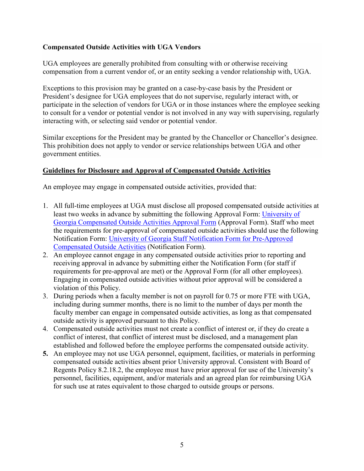## **Compensated Outside Activities with UGA Vendors**

UGA employees are generally prohibited from consulting with or otherwise receiving compensation from a current vendor of, or an entity seeking a vendor relationship with, UGA.

Exceptions to this provision may be granted on a case-by-case basis by the President or President's designee for UGA employees that do not supervise, regularly interact with, or participate in the selection of vendors for UGA or in those instances where the employee seeking to consult for a vendor or potential vendor is not involved in any way with supervising, regularly interacting with, or selecting said vendor or potential vendor.

Similar exceptions for the President may be granted by the Chancellor or Chancellor's designee. This prohibition does not apply to vendor or service relationships between UGA and other government entities.

### **Guidelines for Disclosure and Approval of Compensated Outside Activities**

An employee may engage in compensated outside activities, provided that:

- 1. All full-time employees at UGA must disclose all proposed compensated outside activities at least two weeks in advance by submitting the following Approval Form: [University of](https://hr.uga.edu/_resources/pdf/Compensated-Outside-Activities-Approval-Form.pdf)  [Georgia Compensated Outside Activities](https://hr.uga.edu/_resources/pdf/Compensated-Outside-Activities-Approval-Form.pdf) Approval Form (Approval Form). Staff who meet the requirements for pre-approval of compensated outside activities should use the following Notification Form: [University of Georgia Staff Notification Form for Pre-Approved](https://hr.uga.edu/_resources/pdf/Staff-Notification-Form-for-Pre-Approved-Compensated-Outside-Activities.pdf) [Compensated Outside Activities](https://hr.uga.edu/_resources/pdf/Staff-Notification-Form-for-Pre-Approved-Compensated-Outside-Activities.pdf) (Notification Form).
- 2. An employee cannot engage in any compensated outside activities prior to reporting and receiving approval in advance by submitting either the Notification Form (for staff if requirements for pre-approval are met) or the Approval Form (for all other employees). Engaging in compensated outside activities without prior approval will be considered a violation of this Policy.
- 3. During periods when a faculty member is not on payroll for 0.75 or more FTE with UGA, including during summer months, there is no limit to the number of days per month the faculty member can engage in compensated outside activities, as long as that compensated outside activity is approved pursuant to this Policy.
- 4. Compensated outside activities must not create a conflict of interest or, if they do create a conflict of interest, that conflict of interest must be disclosed, and a management plan established and followed before the employee performs the compensated outside activity.
- **5.** An employee may not use UGA personnel, equipment, facilities, or materials in performing compensated outside activities absent prior University approval. Consistent with Board of Regents Policy 8.2.18.2, the employee must have prior approval for use of the University's personnel, facilities, equipment, and/or materials and an agreed plan for reimbursing UGA for such use at rates equivalent to those charged to outside groups or persons.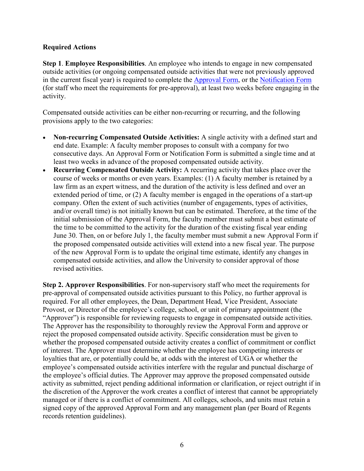#### **Required Actions**

**Step 1**. **Employee Responsibilities**. An employee who intends to engage in new compensated outside activities (or ongoing compensated outside activities that were not previously approved in the current fiscal year) is required to complete the [Approval Form,](https://hr.uga.edu/_resources/pdf/Compensated-Outside-Activities-Approval-Form.pdf) or the [Notification Form](https://hr.uga.edu/_resources/pdf/Staff-Notification-Form-for-Pre-Approved-Compensated-Outside-Activities.pdf) (for staff who meet the requirements for pre-approval), at least two weeks before engaging in the activity.

Compensated outside activities can be either non-recurring or recurring, and the following provisions apply to the two categories:

- **Non-recurring Compensated Outside Activities:** A single activity with a defined start and end date. Example: A faculty member proposes to consult with a company for two consecutive days. An Approval Form or Notification Form is submitted a single time and at least two weeks in advance of the proposed compensated outside activity.
- **Recurring Compensated Outside Activity:** A recurring activity that takes place over the course of weeks or months or even years. Examples: (1) A faculty member is retained by a law firm as an expert witness, and the duration of the activity is less defined and over an extended period of time, or (2) A faculty member is engaged in the operations of a start-up company. Often the extent of such activities (number of engagements, types of activities, and/or overall time) is not initially known but can be estimated. Therefore, at the time of the initial submission of the Approval Form, the faculty member must submit a best estimate of the time to be committed to the activity for the duration of the existing fiscal year ending June 30. Then, on or before July 1, the faculty member must submit a new Approval Form if the proposed compensated outside activities will extend into a new fiscal year. The purpose of the new Approval Form is to update the original time estimate, identify any changes in compensated outside activities, and allow the University to consider approval of those revised activities.

**Step 2. Approver Responsibilities**. For non-supervisory staff who meet the requirements for pre-approval of compensated outside activities pursuant to this Policy, no further approval is required. For all other employees, the Dean, Department Head, Vice President, Associate Provost, or Director of the employee's college, school, or unit of primary appointment (the "Approver") is responsible for reviewing requests to engage in compensated outside activities. The Approver has the responsibility to thoroughly review the Approval Form and approve or reject the proposed compensated outside activity. Specific consideration must be given to whether the proposed compensated outside activity creates a conflict of commitment or conflict of interest. The Approver must determine whether the employee has competing interests or loyalties that are, or potentially could be, at odds with the interest of UGA or whether the employee's compensated outside activities interfere with the regular and punctual discharge of the employee's official duties. The Approver may approve the proposed compensated outside activity as submitted, reject pending additional information or clarification, or reject outright if in the discretion of the Approver the work creates a conflict of interest that cannot be appropriately managed or if there is a conflict of commitment. All colleges, schools, and units must retain a signed copy of the approved Approval Form and any management plan (per Board of Regents records retention guidelines).